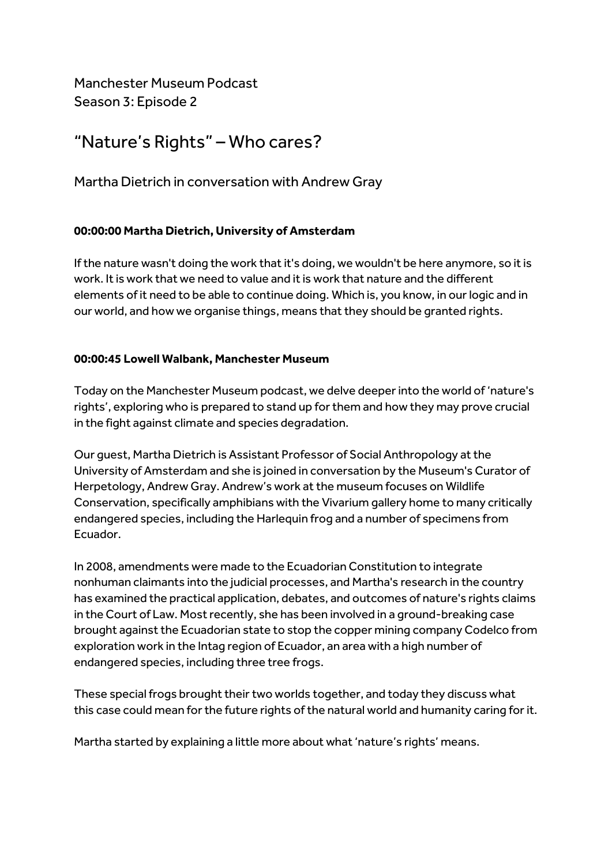Manchester Museum Podcast Season 3: Episode 2

# "Nature's Rights" – Who cares?

Martha Dietrich in conversation with Andrew Gray

# **00:00:00 Martha Dietrich, University of Amsterdam**

If the nature wasn't doing the work that it's doing, we wouldn't be here anymore, so it is work. It is work that we need to value and it is work that nature and the different elements of it need to be able to continue doing. Which is, you know, in our logic and in our world, and how we organise things, means that they should be granted rights.

## **00:00:45 Lowell Walbank, Manchester Museum**

Today on the Manchester Museum podcast, we delve deeper into the world of 'nature's rights', exploring who is prepared to stand up for them and how they may prove crucial in the fight against climate and species degradation.

Our guest, Martha Dietrich is Assistant Professor of Social Anthropology at the University of Amsterdam and she is joined in conversation by the Museum's Curator of Herpetology, Andrew Gray. Andrew's work at the museum focuses on Wildlife Conservation, specifically amphibians with the Vivarium gallery home to many critically endangered species, including the Harlequin frog and a number of specimens from Ecuador.

In 2008, amendments were made to the Ecuadorian Constitution to integrate nonhuman claimants into the judicial processes, and Martha's research in the country has examined the practical application, debates, and outcomes of nature's rights claims in the Court of Law. Most recently, she has been involved in a ground-breaking case brought against the Ecuadorian state to stop the copper mining company Codelco from exploration work in the Intag region of Ecuador, an area with a high number of endangered species, including three tree frogs.

These special frogs brought their two worlds together, and today they discuss what this case could mean for the future rights of the natural world and humanity caring for it.

Martha started by explaining a little more about what 'nature's rights' means.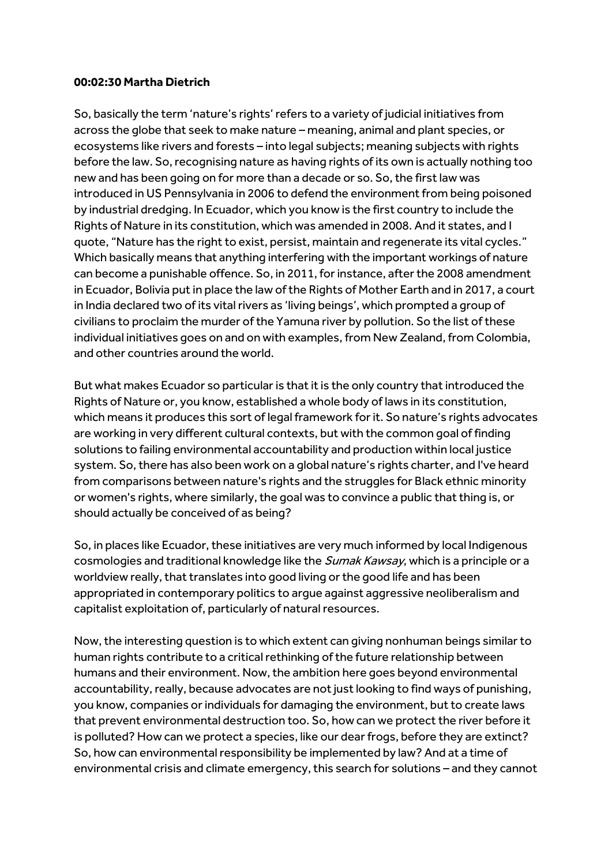#### **00:02:30 Martha Dietrich**

So, basically the term 'nature's rights' refers to a variety of judicial initiatives from across the globe that seek to make nature – meaning, animal and plant species, or ecosystems like rivers and forests – into legal subjects; meaning subjects with rights before the law. So, recognising nature as having rights of its own is actually nothing too new and has been going on for more than a decade or so. So,the first law was introduced in US Pennsylvania in 2006 to defend the environment from being poisoned by industrial dredging. In Ecuador, which you know is the first country to include the Rights of Nature in its constitution, which was amended in 2008. And it states, and I quote, "Nature has the right to exist, persist, maintain and regenerate its vital cycles." Which basically means that anything interfering with the important workings of nature can become a punishable offence. So, in 2011, for instance, after the 2008 amendment in Ecuador, Bolivia put in place the law of the Rights of Mother Earth and in 2017, a court in India declared two of its vital rivers as 'living beings', which prompted a group of civilians to proclaim the murder of the Yamuna river by pollution. So the list of these individual initiatives goes on and on with examples, from New Zealand, from Colombia, and other countries around the world.

But what makes Ecuador so particular is that it is the only country that introduced the Rights of Nature or, you know, established a whole body of laws in its constitution, which means it produces this sort of legal framework for it. So nature's rights advocates are working in very different cultural contexts, but with the common goal of finding solutions to failing environmental accountability and production within local justice system. So, there has also been work on a global nature's rights charter, and I've heard from comparisons between nature's rights and the struggles for Black ethnic minority or women's rights, where similarly, the goal was to convince a public that thing is, or should actually be conceived of as being?

So, in places like Ecuador, these initiatives are very much informed by local Indigenous cosmologies and traditional knowledge like the *Sumak Kawsay*, which is a principle or a worldview really, that translates into good living or the good life and has been appropriated in contemporary politics to argue against aggressive neoliberalism and capitalist exploitation of, particularly of natural resources.

Now,the interesting question is to which extent can giving nonhuman beings similar to human rights contribute to a critical rethinking of the future relationship between humans and their environment. Now, the ambition here goes beyond environmental accountability, really, because advocates are not just looking to find ways of punishing, you know, companies or individuals for damaging the environment, but to create laws that prevent environmental destruction too. So, how can we protect the river before it is polluted? How can we protect a species, like our dear frogs, before they are extinct? So, how can environmental responsibility be implemented by law? And at a time of environmental crisis and climate emergency, this search for solutions – and they cannot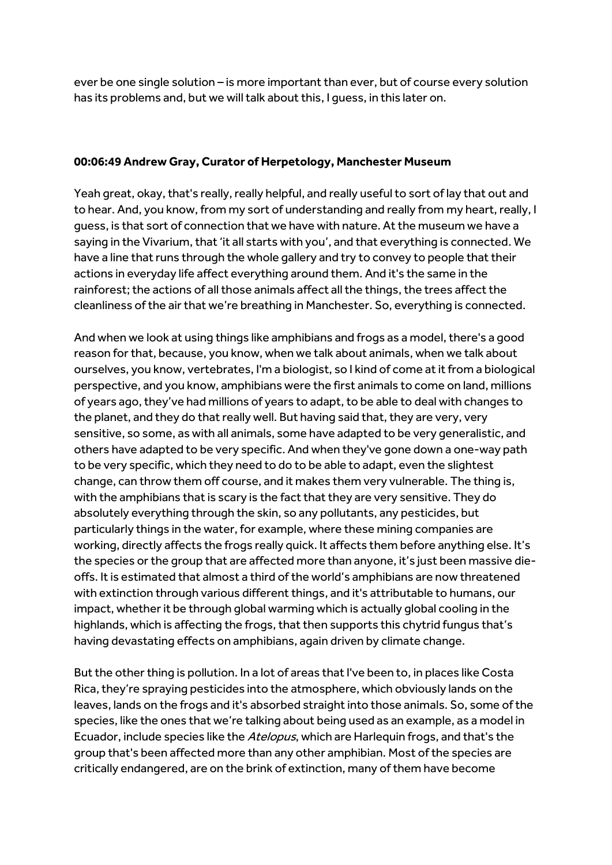ever be one single solution – is more important than ever, but of course every solution has its problems and, but we will talk about this, I guess, in this later on.

## **00:06:49 Andrew Gray, Curator of Herpetology, Manchester Museum**

Yeah great, okay, that's really, really helpful, and really useful to sort of lay that out and to hear. And, you know, from my sort of understanding and really from my heart, really, I guess, is that sort of connection that we have with nature. At the museum we have a saying in the Vivarium, that 'it all starts with you', and that everything is connected. We have a line that runs through the whole gallery and try to convey to people that their actions in everyday life affect everything around them. And it's the same in the rainforest; the actions of all those animals affect all the things, the trees affect the cleanliness of the air that we're breathing in Manchester. So, everything is connected.

And when we look at using things like amphibians and frogs as a model, there's a good reason for that, because, you know, when we talk about animals, when we talk about ourselves, you know, vertebrates, I'm a biologist, so I kind of come at it from a biological perspective, and you know, amphibians were the first animals to come on land, millions of years ago, they've had millions of years to adapt, to be able to deal with changes to the planet, and they do that really well. But having said that, they are very, very sensitive, so some, as with all animals, some have adapted to be very generalistic, and others have adapted to be very specific. And when they've gone down a one-way path to be very specific, which they need to do to be able to adapt, even the slightest change, can throw them off course, and it makes them very vulnerable. The thing is, with the amphibians that is scary is the fact that they are very sensitive. They do absolutely everything through the skin, so any pollutants, any pesticides, but particularly things in the water, for example, where these mining companies are working, directly affects the frogs really quick. It affects them before anything else. It's the species or the group that are affected more than anyone, it's just been massive dieoffs. It is estimated that almost a third of the world's amphibians are now threatened with extinction through various different things, and it's attributable to humans, our impact, whether it be through global warming which is actually global cooling in the highlands, which is affecting the frogs, that then supports this chytrid fungus that's having devastating effects on amphibians, again driven by climate change.

But the other thing is pollution. In a lot of areas that I've been to, in places like Costa Rica, they're spraying pesticides into the atmosphere, which obviously lands on the leaves, lands on the frogs and it's absorbed straight into those animals. So, some of the species, like the ones that we're talking about being used as an example, as a model in Ecuador, include species like the Atelopus, which are Harlequin frogs, and that's the group that's been affected more than any other amphibian. Most of the species are critically endangered, are on the brink of extinction, many of them have become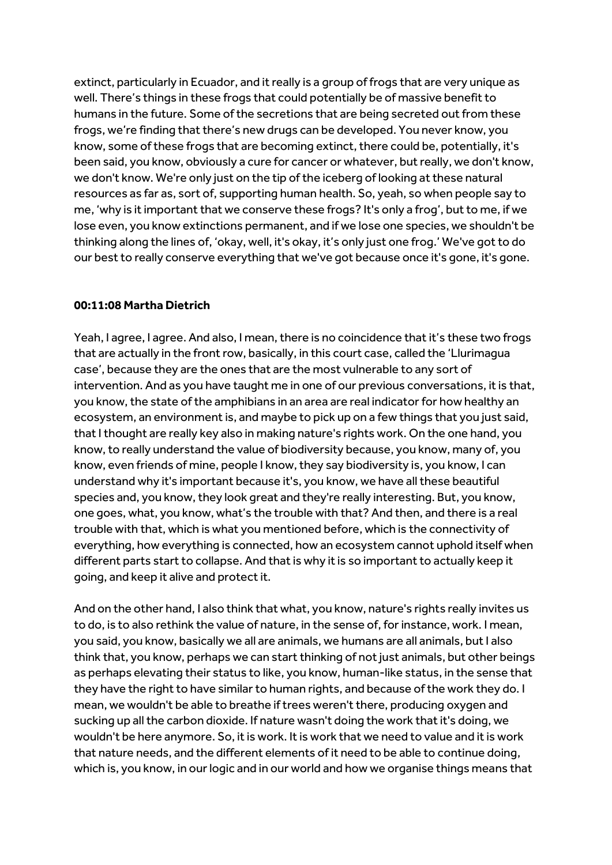extinct, particularly in Ecuador, and it really is a group of frogs that are very unique as well. There's things in these frogs that could potentially be of massive benefit to humans in the future. Some of the secretions that are being secreted out from these frogs, we're finding that there's new drugs can be developed. You never know, you know, some of these frogs that are becoming extinct, there could be, potentially, it's been said, you know, obviously a cure for cancer or whatever, but really, we don't know, we don't know. We're only just on the tip of the iceberg of looking at these natural resources as far as, sort of, supporting human health. So, yeah, so when people say to me, 'why is it important that we conserve these frogs? It's only a frog', but to me, if we lose even, you know extinctions permanent, and if we lose one species, we shouldn't be thinking along the lines of, 'okay, well, it's okay, it's only just one frog.' We've got to do our best to really conserve everything that we've got because once it's gone, it's gone.

#### **00:11:08 Martha Dietrich**

Yeah, I agree, I agree. And also, I mean, there is no coincidence that it's these two frogs that are actually in the front row, basically, in this court case, called the 'Llurimagua case', because they are the ones that are the most vulnerable to any sort of intervention. And as you have taught me in one of our previous conversations, it is that, you know, the state of the amphibians in an area are real indicator for how healthy an ecosystem, an environment is, and maybe to pick up on a few things that you just said, that I thought are really key also in making nature's rights work. On the one hand, you know,to really understand the value of biodiversity because, you know, many of, you know, even friends of mine, people I know, they say biodiversity is, you know, I can understand why it's important because it's, you know, we have all these beautiful species and, you know, they look great and they're really interesting. But, you know, one goes, what, you know, what's the trouble with that? And then, and there is a real trouble with that, which is what you mentioned before, which is the connectivity of everything, how everything is connected, how an ecosystem cannot uphold itself when different parts start to collapse. And that is why it is so important to actually keep it going, and keep it alive and protect it.

And on the other hand, I also think that what, you know, nature's rights really invites us to do, is to also rethink the value of nature, in the sense of, for instance, work. I mean, you said, you know, basically we all are animals, we humans are all animals, but I also think that, you know, perhaps we can start thinking of not just animals, but other beings as perhaps elevating their status to like, you know, human-like status, in the sense that they have the right to have similar to human rights, and because of the work they do. I mean, we wouldn't be able to breathe if trees weren't there, producing oxygen and sucking up all the carbon dioxide. If nature wasn't doing the work that it's doing, we wouldn't be here anymore. So, itis work. It is work that we need to value and it is work that nature needs, and the different elements of it need to be able to continue doing, which is, you know, in our logic and in our world and how we organise things means that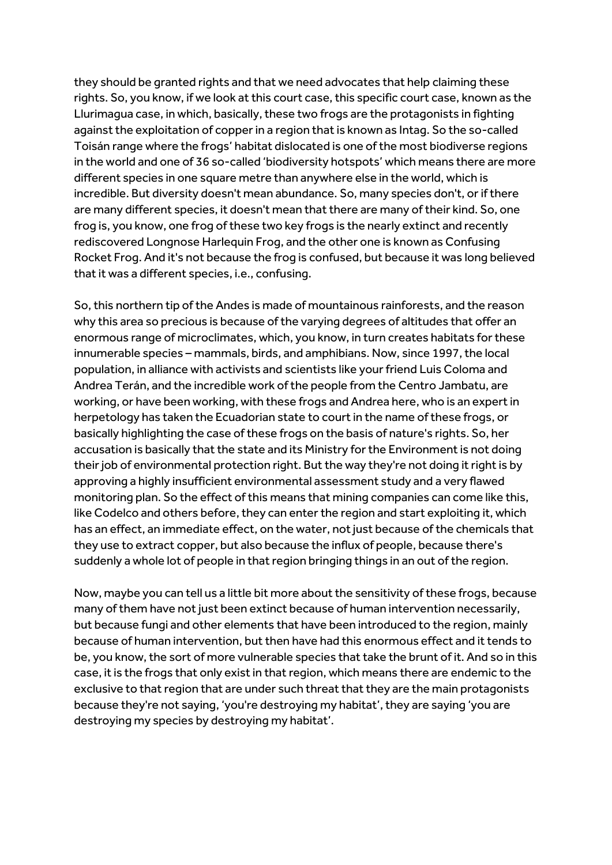they should be granted rights and that we need advocates that help claiming these rights. So, you know, if we look at this court case, this specific court case, known as the Llurimagua case, in which, basically, these two frogs are the protagonists in fighting against the exploitation of copper in a region that is known as Intag. So the so-called Toisán range where the frogs' habitat dislocated is one of the most biodiverse regions in the world and one of 36 so-called 'biodiversity hotspots' which means there are more different species in one square metre than anywhere else in the world, which is incredible. But diversity doesn't mean abundance. So, many species don't, or if there are many different species, it doesn't mean that there are many of their kind. So, one frog is, you know, one frog of these two key frogs is the nearly extinct and recently rediscovered Longnose Harlequin Frog, and the other one is known as Confusing Rocket Frog. And it's not because the frog is confused, but because it was long believed that it was a different species, i.e., confusing.

So,this northern tip of the Andes is made of mountainous rainforests, and the reason why this area so precious is because of the varying degrees of altitudes that offer an enormous range of microclimates, which, you know, in turn creates habitats for these innumerable species – mammals, birds, and amphibians. Now, since 1997, the local population, in alliance with activists and scientists like your friend Luis Coloma and Andrea Terán, and the incredible work of the people from the Centro Jambatu, are working, or have been working, with these frogs and Andrea here, who is an expert in herpetology has taken the Ecuadorian state to court in the name of these frogs, or basically highlighting the case of these frogs on the basis of nature's rights. So, her accusation is basically that the state and its Ministry for the Environment is not doing their job of environmental protection right. But the way they're not doing it right is by approving a highly insufficient environmental assessment study and a very flawed monitoring plan. So the effect of this means that mining companies can come like this, like Codelco and others before, they can enter the region and start exploiting it, which has an effect, an immediate effect, on the water, not just because of the chemicals that they use to extract copper, but also because the influx of people, because there's suddenly a whole lot of people in that region bringing things in an out of the region.

Now, maybe you can tell us a little bit more about the sensitivity of these frogs, because many of them have not just been extinct because of human intervention necessarily, but because fungi and other elements that have been introduced to the region, mainly because of human intervention, but then have had this enormous effect and it tends to be, you know, the sort of more vulnerable species that take the brunt of it. And so in this case, it is the frogs that only exist in that region, which means there are endemic to the exclusive to that region that are under such threat that they are the main protagonists because they're not saying, 'you're destroying my habitat', they are saying 'you are destroying my species by destroying my habitat'.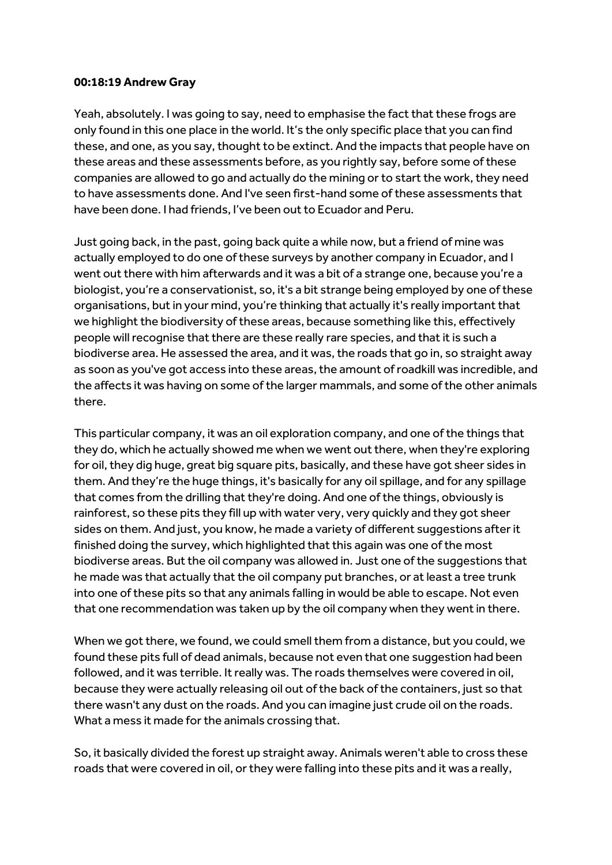#### **00:18:19 Andrew Gray**

Yeah, absolutely. I was going to say, need to emphasise the fact that these frogs are only found in this one place in the world. It's the only specific place that you can find these, and one, as you say, thought to be extinct. And the impacts that people have on these areas and these assessments before, as you rightly say, before some of these companies are allowed to go and actually do the mining or to start the work, they need to have assessments done. And I've seen first-hand some of these assessments that have been done. I had friends, I've been out to Ecuador and Peru.

Just going back, in the past, going back quite a while now, but a friend of mine was actually employed to do one of these surveys by another company in Ecuador, and I went out there with him afterwards and it was a bit of a strange one, because you're a biologist, you're a conservationist, so, it's a bit strange being employed by one of these organisations, but in your mind, you're thinking that actually it's really important that we highlight the biodiversity of these areas, because something like this, effectively people will recognise that there are these really rare species, and that it is such a biodiverse area. He assessed the area, and it was, the roads that go in, so straight away as soon as you've got access into these areas, the amount of roadkill was incredible, and the affects it was having on some of the larger mammals, and some of the other animals there.

This particular company, it was an oil exploration company, and one of the things that they do, which he actually showed me when we went out there, when they're exploring for oil, they dig huge, great big square pits, basically, and these have got sheer sides in them. And they're the huge things, it's basically for any oil spillage, and for any spillage that comes from the drilling that they're doing. And one of the things, obviously is rainforest, so these pits they fill up with water very, very quickly and they got sheer sides on them. And just, you know, he made a variety of different suggestions after it finished doing the survey, which highlighted that this again was one of the most biodiverse areas. But the oil company was allowed in. Just one of the suggestions that he made was that actually that the oil company put branches, or at least a tree trunk into one of these pits so that any animals falling in would be able to escape. Not even that one recommendation was taken up by the oil company when they went in there.

When we got there, we found, we could smell them from a distance, but you could, we found these pits full of dead animals, because not even that one suggestion had been followed, and it was terrible. It really was. The roads themselves were covered in oil, because they were actually releasing oil out of the back of the containers, just so that there wasn't any dust on the roads. And you can imagine just crude oil on the roads. What a mess it made for the animals crossing that.

So, it basically divided the forest up straight away. Animals weren't able to cross these roads that were covered in oil, or they were falling into these pits and it was a really,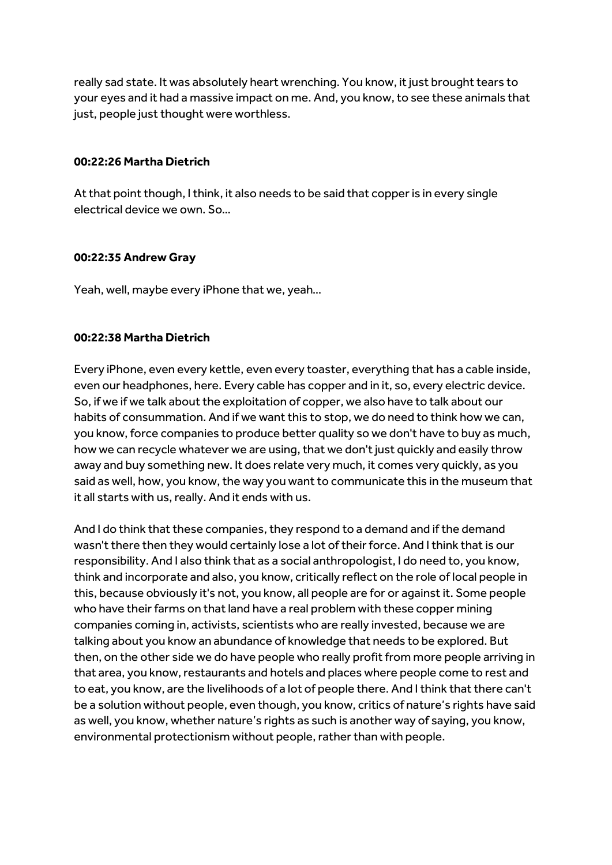really sad state. It was absolutely heart wrenching. You know, it just brought tears to your eyes and it had a massive impact on me. And, you know,to see these animals that just, people just thought were worthless.

#### **00:22:26 Martha Dietrich**

At that point though, I think, it also needs to be said that copper is in every single electrical device we own. So…

## **00:22:35 Andrew Gray**

Yeah, well, maybe every iPhone that we, yeah…

## **00:22:38 Martha Dietrich**

Every iPhone, even every kettle, even every toaster, everything that has a cable inside, even our headphones, here. Every cable has copper and in it, so, every electric device. So, if we if we talk about the exploitation of copper, we also have to talk about our habits of consummation. And if we want this to stop, we do need to think how we can, you know, force companies to produce better quality so we don't have to buy as much, how we can recycle whatever we are using, that we don't just quickly and easily throw away and buy something new. It does relate very much, it comes very quickly, as you said as well, how, you know, the way you want to communicate this in the museum that it all starts with us, really. And it ends with us.

And I do think that these companies, they respond to a demand and if the demand wasn't there then they would certainly lose a lot of their force. And I think that is our responsibility. And I also think that as a social anthropologist, I do need to, you know, think and incorporate and also, you know, critically reflect on the role of local people in this, because obviously it's not, you know, all people are for or against it. Some people who have their farms on that land have a real problem with these copper mining companies coming in, activists, scientists who are really invested, because we are talking about you know an abundance of knowledge that needs to be explored. But then, on the other side we do have people who really profit from more people arriving in that area, you know, restaurants and hotels and places where people come to rest and to eat, you know, are the livelihoods of a lot of people there. And I think that there can't be a solution without people, even though, you know, critics of nature's rights have said as well, you know, whether nature's rights as such is another way of saying, you know, environmental protectionism without people, rather than with people.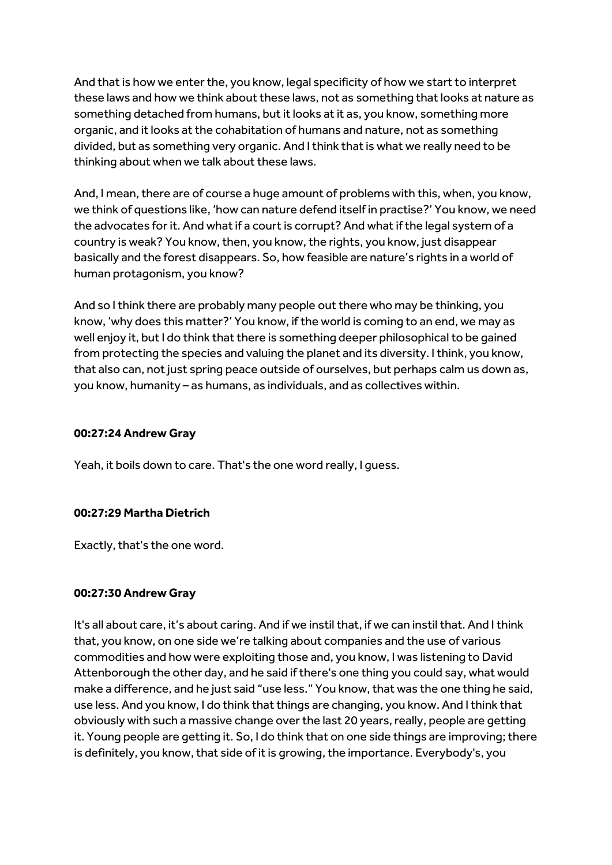And that is how we enter the, you know, legal specificity of how we start to interpret these laws and how we think about these laws, not as something that looks at nature as something detached from humans, but it looks at it as, you know, something more organic, and it looks at the cohabitation of humans and nature, not as something divided, but as something very organic. And I think that is what we really need to be thinking about when we talk about these laws.

And, I mean, there are of course a huge amount of problems with this, when, you know, we think of questions like, 'how can nature defend itself in practise?' You know, we need the advocates for it. And what if a courtis corrupt? And what if the legal system of a country is weak? You know, then, you know, the rights, you know, just disappear basically and the forest disappears. So, how feasible are nature's rights in a world of human protagonism, you know?

And so I think there are probably many people out there who may be thinking, you know, 'why does this matter?' You know, if the world is coming to an end, we may as well enjoy it, but I do think that there is something deeper philosophical to be gained from protecting the species and valuing the planet and its diversity. I think, you know, that also can, not just spring peace outside of ourselves, but perhaps calm us down as, you know, humanity – as humans, as individuals, and as collectives within.

## **00:27:24 Andrew Gray**

Yeah, it boils down to care. That's the one word really, I guess.

## **00:27:29 Martha Dietrich**

Exactly, that's the one word.

## **00:27:30 Andrew Gray**

It's all about care, it's about caring. And if we instil that, if we can instil that. And I think that, you know, on one side we're talking about companies and the use of various commodities and how were exploiting those and, you know, I was listening to David Attenborough the other day, and he said if there's one thing you could say, what would make a difference, and he just said "use less." You know, that was the one thing he said, use less. And you know, I do think that things are changing, you know. And I think that obviously with such a massive change over the last 20 years, really, people are getting it. Young people are getting it. So, I do think that on one side things are improving; there is definitely, you know, that side of it is growing, the importance. Everybody's, you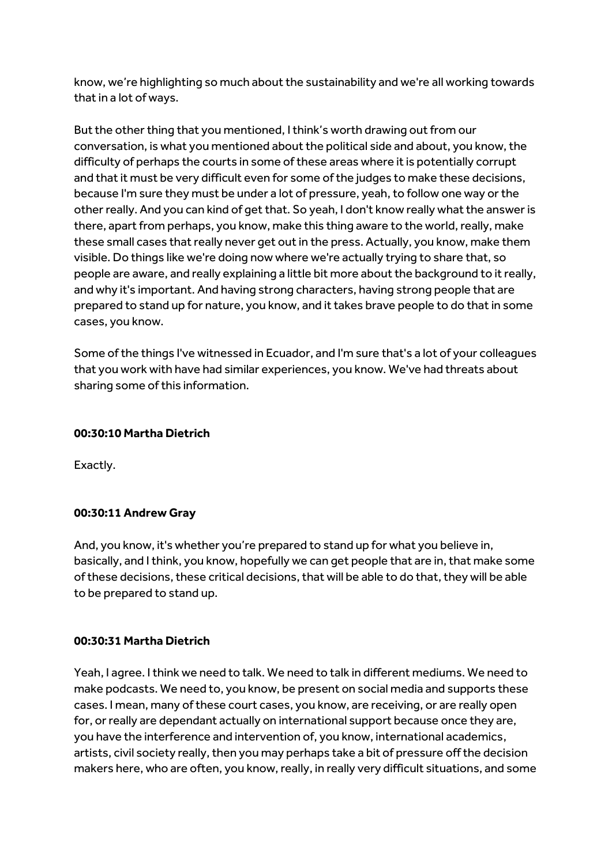know, we're highlighting so much about the sustainability and we're all working towards that in a lot of ways.

But the other thing that you mentioned, I think's worth drawing out from our conversation, is what you mentioned about the political side and about, you know, the difficulty of perhaps the courts in some of these areas where it is potentially corrupt and that it must be very difficult even for some of the judges to make these decisions, because I'm sure they must be under a lot of pressure, yeah, to follow one way or the other really. And you can kind of get that. So yeah, I don't know really what the answer is there, apart from perhaps, you know, make this thing aware to the world, really, make these small cases that really never get out in the press. Actually, you know, make them visible. Do things like we're doing now where we're actually trying to share that, so people are aware, and really explaining a little bit more about the background to it really, and why it's important. And having strong characters, having strong people that are prepared to stand up for nature, you know, and it takes brave people to do that in some cases, you know.

Some of the things I've witnessed in Ecuador, and I'm sure that's a lot of your colleagues that you work with have had similar experiences, you know. We've had threats about sharing some of this information.

## **00:30:10 Martha Dietrich**

Exactly.

#### **00:30:11 Andrew Gray**

And, you know, it's whether you're prepared to stand up for what you believe in, basically, and I think, you know, hopefully we can get people that are in, that make some of these decisions, these critical decisions, that will be able to do that, they will be able to be prepared to stand up.

#### **00:30:31 Martha Dietrich**

Yeah, I agree. I think we need to talk. We need to talk in different mediums. We need to make podcasts. We need to, you know, be present on social media and supports these cases. I mean, many of these court cases, you know, are receiving, or are really open for, or really are dependant actually on international support because once they are, you have the interference and intervention of, you know, international academics, artists, civil society really, then you may perhaps take a bit of pressure off the decision makers here, who are often, you know, really, in really very difficult situations, and some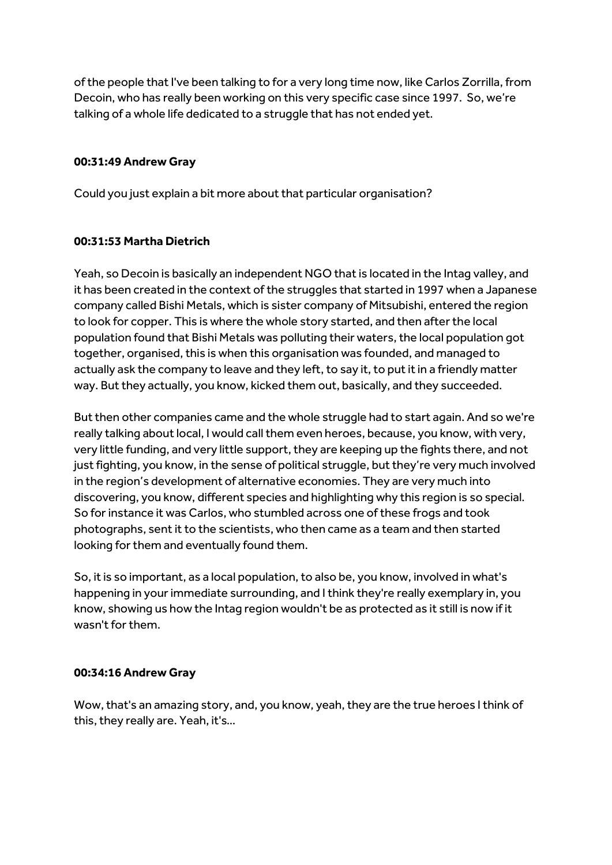of the people that I've been talking to for a very long time now, like Carlos Zorrilla, from Decoin, who has really been working on this very specific case since 1997. So, we're talking of a whole life dedicated to a struggle that has not ended yet.

## **00:31:49 Andrew Gray**

Could you just explain a bit more about that particular organisation?

## **00:31:53 Martha Dietrich**

Yeah, so Decoin is basically an independent NGO that is located in the Intag valley, and it has been created in the context of the struggles that started in 1997 when a Japanese company called Bishi Metals, which is sister company of Mitsubishi, entered the region to look for copper. This is where the whole story started, and then after the local population found that Bishi Metals was polluting their waters, the local population got together, organised, this is when this organisation was founded, and managed to actually ask the company to leave and they left, to say it, to put it in a friendly matter way. But they actually, you know, kicked them out, basically, and they succeeded.

But then other companies came and the whole struggle had to start again. And so we're really talking about local, I would call them even heroes, because, you know, with very, very little funding, and very little support, they are keeping up the fights there, and not just fighting, you know, in the sense of political struggle, but they're very much involved in the region's development of alternative economies. They are very much into discovering, you know, different species and highlighting why this region is so special. So for instance it was Carlos, who stumbled across one of these frogs and took photographs, sent it to the scientists, who then came as a team and then started looking for them and eventually found them.

So, it is so important, as a local population, to also be, you know, involved in what's happening in your immediate surrounding, and Ithink they're really exemplary in, you know, showing us how the Intag region wouldn't be as protected as it still is now if it wasn't for them.

#### **00:34:16 Andrew Gray**

Wow, that's an amazing story, and, you know, yeah, they are the true heroes I think of this, they really are. Yeah, it's…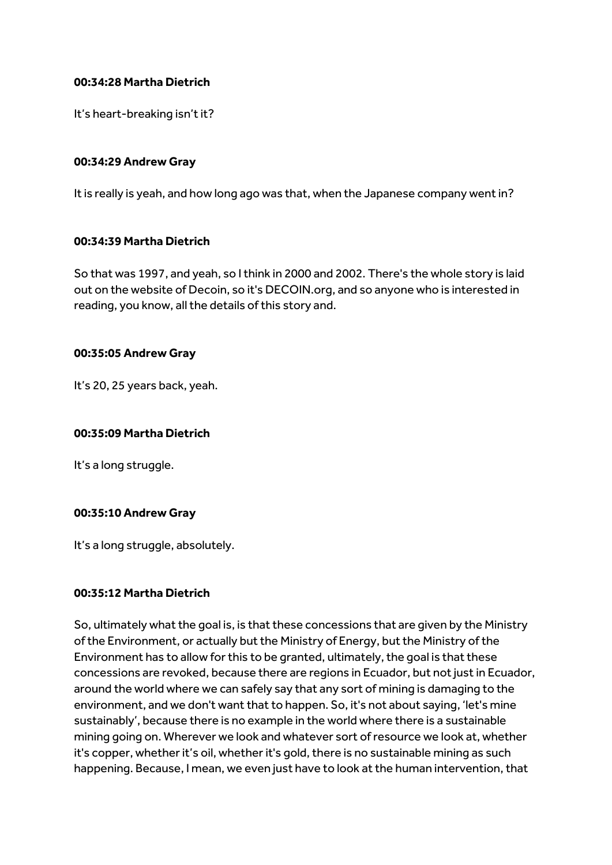## **00:34:28 Martha Dietrich**

It's heart-breaking isn't it?

## **00:34:29 Andrew Gray**

It is really is yeah, and how long ago was that, when the Japanese company went in?

## **00:34:39 Martha Dietrich**

So that was 1997, and yeah, so I think in 2000 and 2002. There's the whole story is laid out on the website of Decoin, so it's DECOIN.org, and so anyone who is interested in reading, you know, all the details of this story and.

## **00:35:05 Andrew Gray**

It's 20, 25 years back, yeah.

## **00:35:09 Martha Dietrich**

It's a long struggle.

#### **00:35:10 Andrew Gray**

It's a long struggle, absolutely.

#### **00:35:12 Martha Dietrich**

So, ultimately what the goal is, is that these concessions that are given by the Ministry of the Environment, or actually but the Ministry of Energy, but the Ministry of the Environment has to allow for this to be granted, ultimately, the goal is that these concessions are revoked, because there are regions in Ecuador, but not just in Ecuador, around the world where we can safely say that any sort of mining is damaging to the environment, and we don't want that to happen. So, it's not about saying, 'let's mine sustainably', because there is no example in the world where there is a sustainable mining going on. Wherever we look and whatever sort of resource we look at, whether it's copper, whether it's oil, whether it's gold, there is no sustainable mining as such happening. Because, I mean, we even just have to look at the human intervention, that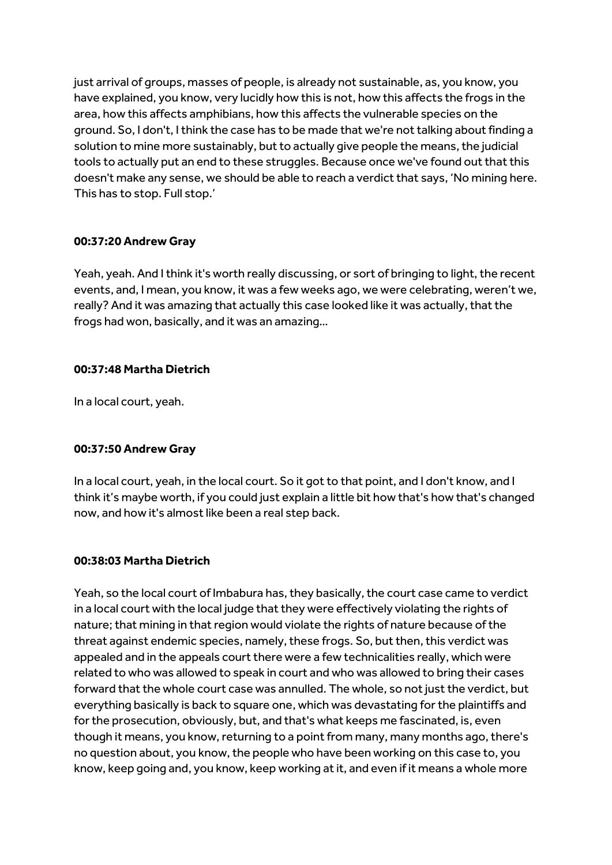just arrival of groups, masses of people, is already not sustainable, as, you know, you have explained, you know, very lucidly how this is not, how this affects the frogs in the area, how this affects amphibians, how this affects the vulnerable species on the ground. So, I don't, I think the case has to be made that we're not talking about finding a solution to mine more sustainably, but to actually give people the means, the judicial tools to actually put an end to these struggles. Because once we've found out that this doesn't make any sense, we should be able to reach a verdict that says, 'No mining here. This has to stop. Full stop.'

## **00:37:20 Andrew Gray**

Yeah, yeah. And I think it's worth really discussing, or sort of bringing to light, the recent events, and, I mean, you know, it was a few weeks ago, we were celebrating, weren't we, really? And it was amazing that actually this case looked like it was actually, that the frogs had won, basically, and it was an amazing…

## **00:37:48 Martha Dietrich**

In a local court, yeah.

## **00:37:50 Andrew Gray**

In a local court, yeah, in the local court. So it got to that point, and I don't know, and I think it's maybe worth, if you could just explain a little bit how that's how that's changed now, and how it's almost like been a real step back.

## **00:38:03 Martha Dietrich**

Yeah, so the local court of Imbabura has, they basically, the court case came to verdict in a local court with the local judge that they were effectively violating the rights of nature; that mining in that region would violate the rights of nature because of the threat against endemic species, namely, these frogs. So, but then, this verdict was appealed and in the appeals court there were a few technicalities really, which were related to who was allowed to speak in court and who was allowed to bring their cases forward that the whole court case was annulled. The whole, so not just the verdict, but everything basically is back to square one, which was devastating for the plaintiffs and for the prosecution, obviously, but, and that's what keeps me fascinated, is, even though it means, you know, returning to a point from many, many months ago, there's no question about, you know,the people who have been working on this case to, you know, keep going and, you know, keep working at it, and even if it means a whole more